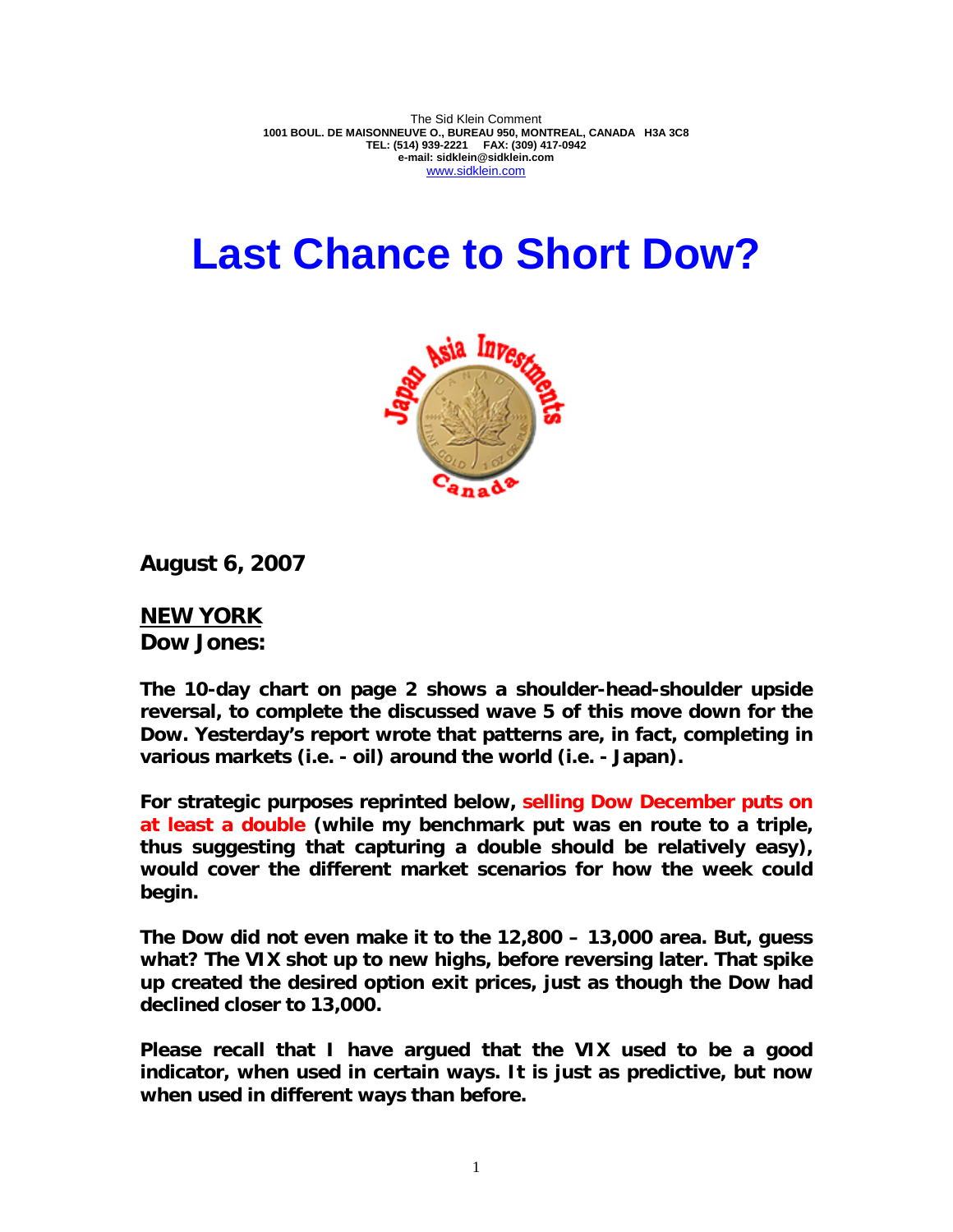The Sid Klein Comment **1001 BOUL. DE MAISONNEUVE O., BUREAU 950, MONTREAL, CANADA H3A 3C8 TEL: (514) 939-2221 FAX: (309) 417-0942 e-mail: sidklein@sidklein.com**  www.sidklein.com

# **Last Chance to Short Dow?**



**August 6, 2007** 

**NEW YORK Dow Jones:**

**The 10-day chart on page 2 shows a shoulder-head-shoulder upside reversal, to complete the discussed wave 5 of this move down for the Dow. Yesterday's report wrote that patterns are, in fact, completing in various markets (i.e. - oil) around the world (i.e. - Japan).** 

**For strategic purposes reprinted below, selling Dow December puts on at least a double (while my benchmark put was en route to a triple, thus suggesting that capturing a double should be relatively easy), would cover the different market scenarios for how the week could begin.** 

**The Dow did not even make it to the 12,800 – 13,000 area. But, guess what? The VIX shot up to new highs, before reversing later. That spike up created the desired option exit prices, just as though the Dow had declined closer to 13,000.** 

**Please recall that I have argued that the VIX used to be a good indicator, when used in certain ways. It is just as predictive, but now when used in different ways than before.**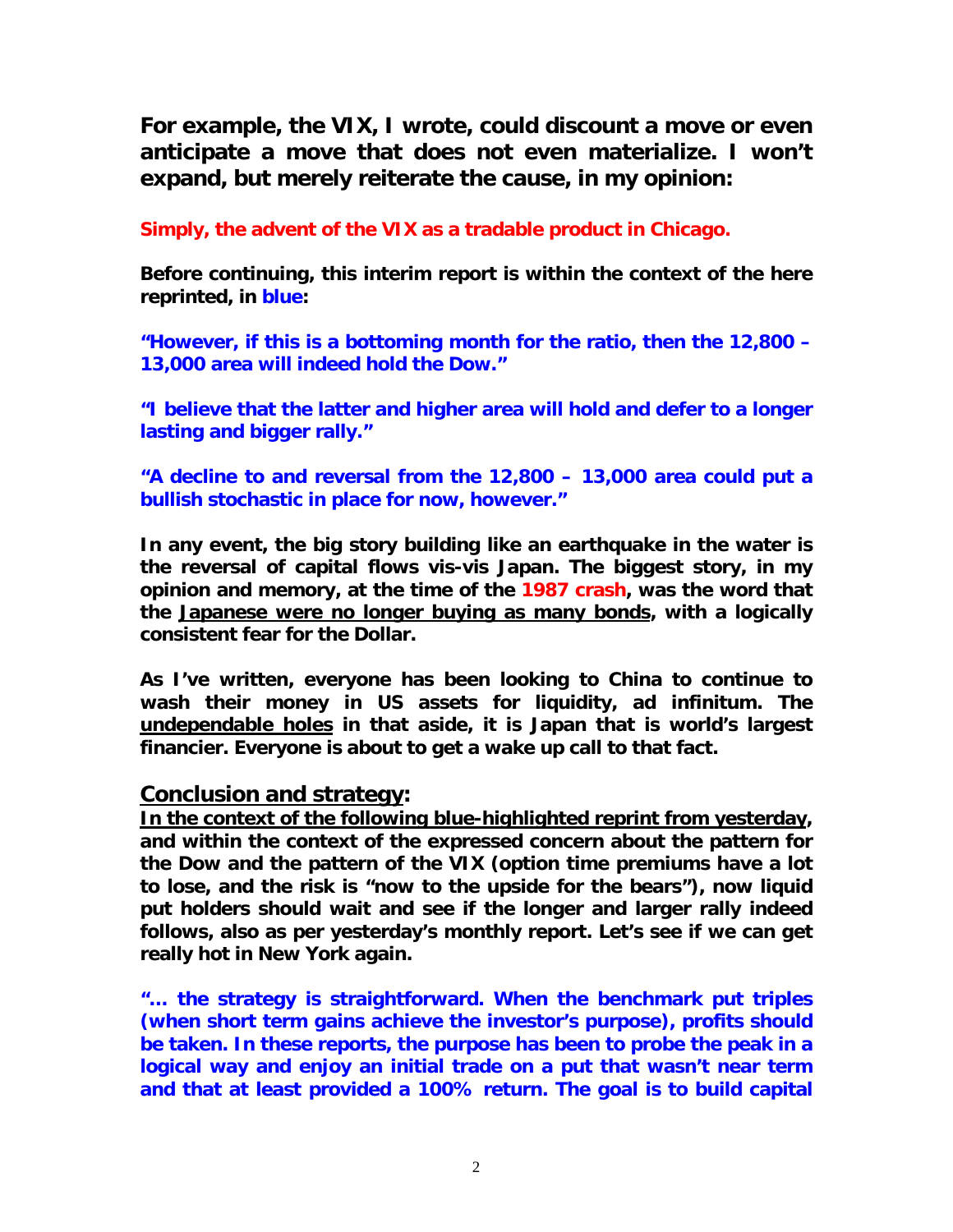**For example, the VIX, I wrote, could discount a move or even anticipate a move that does not even materialize. I won't expand, but merely reiterate the cause, in my opinion:** 

**Simply, the advent of the VIX as a tradable product in Chicago.** 

**Before continuing, this interim report is within the context of the here reprinted, in blue:** 

**"However, if this is a bottoming month for the ratio, then the 12,800 – 13,000 area will indeed hold the Dow."** 

**"I believe that the latter and higher area will hold and defer to a longer lasting and bigger rally."** 

**"A decline to and reversal from the 12,800 – 13,000 area could put a bullish stochastic in place for now, however."** 

**In any event, the big story building like an earthquake in the water is the reversal of capital flows vis-vis Japan. The biggest story, in my opinion and memory, at the time of the 1987 crash, was the word that the Japanese were no longer buying as many bonds, with a logically consistent fear for the Dollar.** 

**As I've written, everyone has been looking to China to continue to wash their money in US assets for liquidity, ad infinitum. The undependable holes in that aside, it is Japan that is world's largest financier. Everyone is about to get a wake up call to that fact.** 

### **Conclusion and strategy:**

**In the context of the following blue-highlighted reprint from yesterday, and within the context of the expressed concern about the pattern for the Dow and the pattern of the VIX (option time premiums have a lot to lose, and the risk is "now to the upside for the bears"), now liquid put holders should wait and see if the longer and larger rally indeed follows, also as per yesterday's monthly report. Let's see if we can get really hot in New York again.** 

**"… the strategy is straightforward. When the benchmark put triples (when short term gains achieve the investor's purpose), profits should be taken. In these reports, the purpose has been to probe the peak in a logical way and enjoy an initial trade on a put that wasn't near term and that at least provided a 100% return. The goal is to build capital**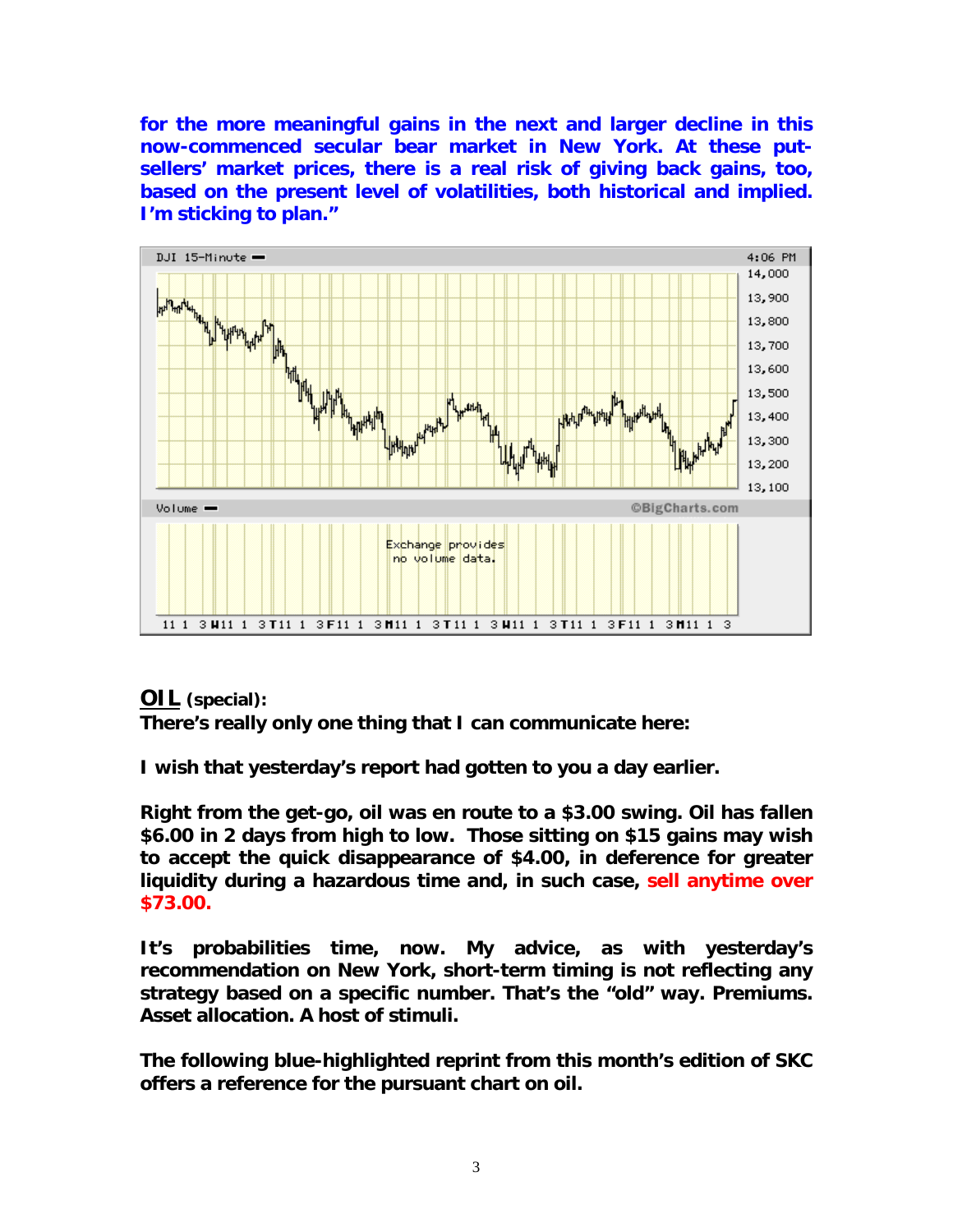**for the more meaningful gains in the next and larger decline in this now-commenced secular bear market in New York. At these putsellers' market prices, there is a real risk of giving back gains, too, based on the present level of volatilities, both historical and implied. I'm sticking to plan."** 



## **OIL (special):**

**There's really only one thing that I can communicate here:** 

**I wish that yesterday's report had gotten to you a day earlier.** 

**Right from the get-go, oil was en route to a \$3.00 swing. Oil has fallen \$6.00 in 2 days from high to low. Those sitting on \$15 gains may wish to accept the quick disappearance of \$4.00, in deference for greater liquidity during a hazardous time and, in such case, sell anytime over \$73.00.** 

**It's probabilities time, now. My advice, as with yesterday's recommendation on New York, short-term timing is not reflecting any strategy based on a specific number. That's the "old" way. Premiums. Asset allocation. A host of stimuli.** 

**The following blue-highlighted reprint from this month's edition of SKC offers a reference for the pursuant chart on oil.**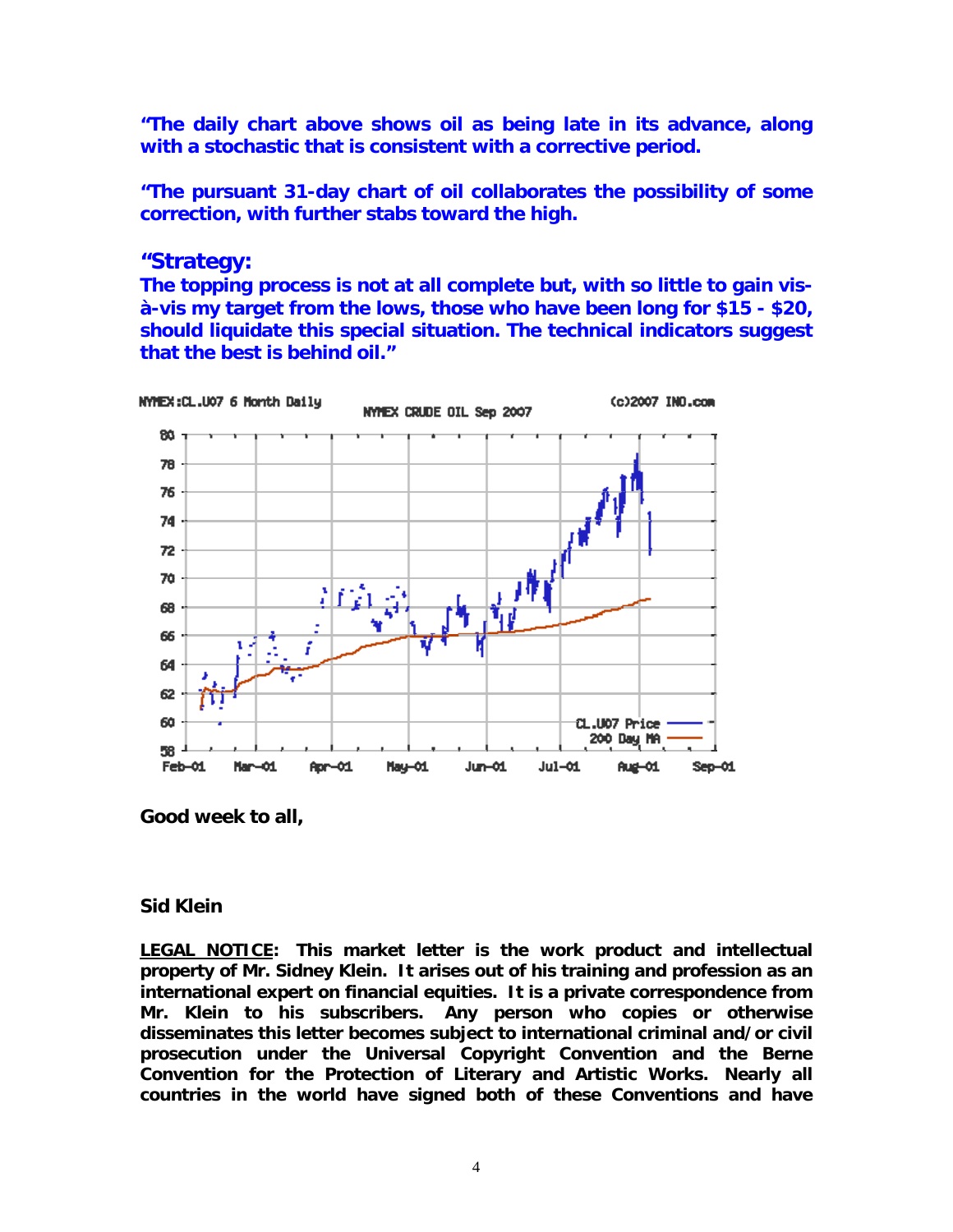**"The daily chart above shows oil as being late in its advance, along with a stochastic that is consistent with a corrective period.** 

**"The pursuant 31-day chart of oil collaborates the possibility of some correction, with further stabs toward the high.** 

## **"Strategy:**

**The topping process is not at all complete but, with so little to gain visà-vis my target from the lows, those who have been long for \$15 - \$20, should liquidate this special situation. The technical indicators suggest that the best is behind oil."**



**Good week to all,** 

### **Sid Klein**

**LEGAL NOTICE: This market letter is the work product and intellectual property of Mr. Sidney Klein. It arises out of his training and profession as an international expert on financial equities. It is a private correspondence from Mr. Klein to his subscribers. Any person who copies or otherwise disseminates this letter becomes subject to international criminal and/or civil prosecution under the Universal Copyright Convention and the Berne Convention for the Protection of Literary and Artistic Works. Nearly all countries in the world have signed both of these Conventions and have**